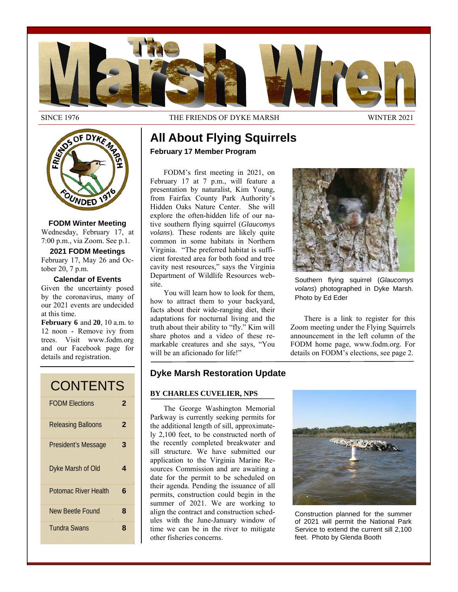

SINCE 1976 THE FRIENDS OF DYKE MARSH WINTER 2021



**FODM Winter Meeting**  Wednesday, February 17, at 7:00 p.m., via Zoom. See p.1.

**2021 FODM Meetings**  February 17, May 26 and October 20, 7 p.m.

**Calendar of Events** 

Given the uncertainty posed by the coronavirus, many of our 2021 events are undecided at this time.

**February 6** and **20**, 10 a.m. to 12 noon **-** Remove ivy from trees. Visit www.fodm.org and our Facebook page for details and registration.

| <b>CONTENTS</b>             |   |
|-----------------------------|---|
| <b>FODM Elections</b>       | 2 |
| <b>Releasing Balloons</b>   | 2 |
| President's Message         | 3 |
| Dyke Marsh of Old           | 4 |
| <b>Potomac River Health</b> | 6 |
| New Beetle Found            | 8 |
| <b>Tundra Swans</b>         | 8 |

# **All About Flying Squirrels February 17 Member Program**

FODM's first meeting in 2021, on February 17 at 7 p.m., will feature a presentation by naturalist, Kim Young, from Fairfax County Park Authority's Hidden Oaks Nature Center. She will explore the often-hidden life of our native southern flying squirrel (*Glaucomys volans*). These rodents are likely quite common in some habitats in Northern Virginia. "The preferred habitat is sufficient forested area for both food and tree cavity nest resources," says the Virginia Department of Wildlife Resources website.

You will learn how to look for them, how to attract them to your backyard, facts about their wide-ranging diet, their adaptations for nocturnal living and the truth about their ability to "fly." Kim will share photos and a video of these remarkable creatures and she says, "You will be an aficionado for life!"



Southern flying squirrel (*Glaucomys volans*) photographed in Dyke Marsh. Photo by Ed Eder

There is a link to register for this Zoom meeting under the Flying Squirrels announcement in the left column of the FODM home page, www.fodm.org. For details on FODM's elections, see page 2.

# **Dyke Marsh Restoration Update**

## **BY CHARLES CUVELIER, NPS**

The George Washington Memorial Parkway is currently seeking permits for the additional length of sill, approximately 2,100 feet, to be constructed north of the recently completed breakwater and sill structure. We have submitted our application to the Virginia Marine Resources Commission and are awaiting a date for the permit to be scheduled on their agenda. Pending the issuance of all permits, construction could begin in the summer of 2021. We are working to align the contract and construction schedules with the June-January window of time we can be in the river to mitigate other fisheries concerns.



Construction planned for the summer of 2021 will permit the National Park Service to extend the current sill 2,100 feet. Photo by Glenda Booth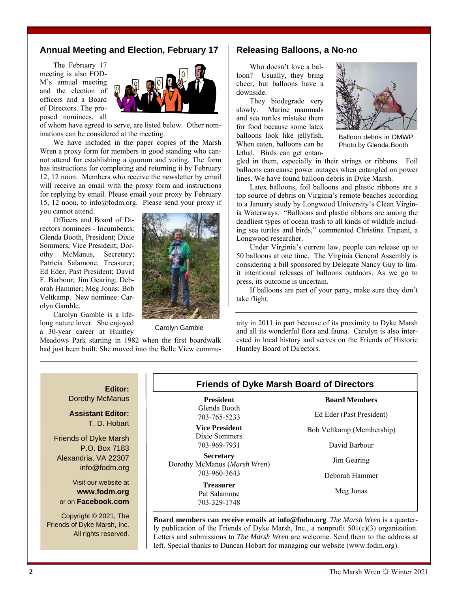## **Annual Meeting and Election, February 17**

The February 17 meeting is also FOD-M's annual meeting and the election of officers and a Board of Directors. The proposed nominees, all



of whom have agreed to serve, are listed below. Other nominations can be considered at the meeting.

We have included in the paper copies of the Marsh Wren a proxy form for members in good standing who cannot attend for establishing a quorum and voting. The form has instructions for completing and returning it by February 12, 12 noon. Members who receive the newsletter by email will receive an email with the proxy form and instructions for replying by email. Please email your proxy by February 15, 12 noon, to info@fodm.org. Please send your proxy if you cannot attend.

Officers and Board of Directors nominees - Incumbents: Glenda Booth, President; Dixie Sommers, Vice President; Dorothy McManus, Secretary; Patricia Salamone, Treasurer; Ed Eder, Past President; David F. Barbour; Jim Gearing; Deborah Hammer; Meg Jonas; Bob Veltkamp. New nominee: Carolyn Gamble.

Carolyn Gamble is a lifelong nature lover. She enjoyed a 30-year career at Huntley

Meadows Park starting in 1982 when the first boardwalk had just been built. She moved into the Belle View commu-

## **Releasing Balloons, a No-no**

Who doesn't love a balloon? Usually, they bring cheer, but balloons have a downside.

They biodegrade very slowly. Marine mammals and sea turtles mistake them for food because some latex balloons look like jellyfish. When eaten, balloons can be lethal. Birds can get entan-



Balloon debris in DMWP. Photo by Glenda Booth

gled in them, especially in their strings or ribbons. Foil balloons can cause power outages when entangled on power lines. We have found balloon debris in Dyke Marsh.

Latex balloons, foil balloons and plastic ribbons are a top source of debris on Virginia's remote beaches according to a January study by Longwood University's Clean Virginia Waterways. "Balloons and plastic ribbons are among the deadliest types of ocean trash to all kinds of wildlife including sea turtles and birds," commented Christina Trapani, a Longwood researcher.

Under Virginia's current law, people can release up to 50 balloons at one time. The Virginia General Assembly is considering a bill sponsored by Delegate Nancy Guy to limit intentional releases of balloons outdoors. As we go to press, its outcome is uncertain.

If balloons are part of your party, make sure they don't take flight.

nity in 2011 in part because of its proximity to Dyke Marsh<br>Carolyn Gamble<br> $\frac{1}{2}$  and all its proported flame and fours. Carolyn is also interand all its wonderful flora and fauna. Carolyn is also interested in local history and serves on the Friends of Historic Huntley Board of Directors.

## **Editor:**

Dorothy McManus

**Assistant Editor:**  T. D. Hobart

Friends of Dyke Marsh P.O. Box 7183 Alexandria, VA 22307 info@fodm.org

Visit our website at **www.fodm.org** or on **Facebook.com**

Copyright © 2021, The Friends of Dyke Marsh, Inc. All rights reserved.

# **Friends of Dyke Marsh Board of Directors**

**President** Glenda Booth 703-765-5233

**Vice President**  Dixie Sommers 703-969-7931

**Secretary** Dorothy McManus (*Marsh Wren*) 703-960-3643

> **Treasurer** Pat Salamone 703-329-1748

Ed Eder (Past President)

**Board Members** 

Bob Veltkamp (Membership)

David Barbour

Jim Gearing

Deborah Hammer

Meg Jonas

**Board members can receive emails at info@fodm.org**. *The Marsh Wren* is a quarterly publication of the Friends of Dyke Marsh, Inc., a nonprofit 501(c)(3) organization. Letters and submissions to *The Marsh Wren* are welcome. Send them to the address at left. Special thanks to Duncan Hobart for managing our website (www.fodm.org).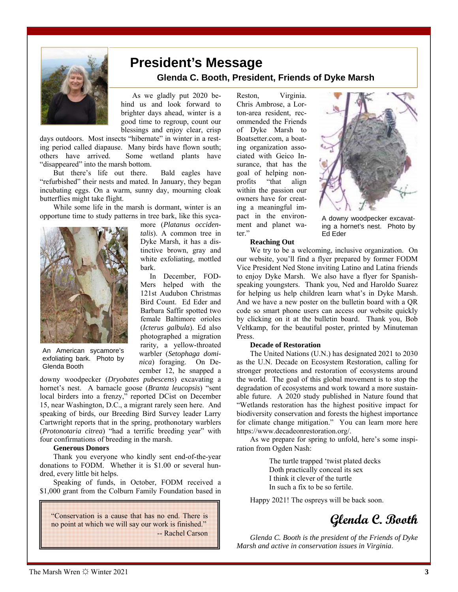

# **President's Message Glenda C. Booth, President, Friends of Dyke Marsh**

 As we gladly put 2020 behind us and look forward to brighter days ahead, winter is a good time to regroup, count our blessings and enjoy clear, crisp

> more (*Platanus occidentalis*). A common tree in Dyke Marsh, it has a distinctive brown, gray and white exfoliating, mottled

 In December, FOD-Mers helped with the 121st Audubon Christmas Bird Count. Ed Eder and Barbara Saffir spotted two female Baltimore orioles (*Icterus galbula*). Ed also photographed a migration rarity, a yellow-throated warbler (*Setophaga dominica*) foraging. On December 12, he snapped a

days outdoors. Most insects "hibernate" in winter in a resting period called diapause. Many birds have flown south; others have arrived. Some wetland plants have "disappeared" into the marsh bottom.

But there's life out there. Bald eagles have "refurbished" their nests and mated. In January, they began incubating eggs. On a warm, sunny day, mourning cloak butterflies might take flight.

While some life in the marsh is dormant, winter is an opportune time to study patterns in tree bark, like this syca-

bark.



An American sycamore's exfoliating bark. Photo by Glenda Booth

downy woodpecker (*Dryobates pubescens*) excavating a hornet's nest. A barnacle goose (*Branta leucopsis*) "sent local birders into a frenzy," reported DCist on December 15, near Washington, D.C., a migrant rarely seen here. And speaking of birds, our Breeding Bird Survey leader Larry Cartwright reports that in the spring, prothonotary warblers (*Protonotaria citrea*) "had a terrific breeding year" with four confirmations of breeding in the marsh.

### **Generous Donors**

Thank you everyone who kindly sent end-of-the-year donations to FODM. Whether it is \$1.00 or several hundred, every little bit helps.

Speaking of funds, in October, FODM received a \$1,000 grant from the Colburn Family Foundation based in

"Conservation is a cause that has no end. There is no point at which we will say our work is finished." -- Rachel Carson Reston, Virginia. Chris Ambrose, a Lorton-area resident, recommended the Friends of Dyke Marsh to Boatsetter.com, a boating organization associated with Geico Insurance, that has the goal of helping nonprofits "that align within the passion our owners have for creating a meaningful impact in the environment and planet water."



A downy woodpecker excavating a hornet's nest. Photo by Ed Eder

#### **Reaching Out**

We try to be a welcoming, inclusive organization. On our website, you'll find a flyer prepared by former FODM Vice President Ned Stone inviting Latino and Latina friends to enjoy Dyke Marsh. We also have a flyer for Spanishspeaking youngsters. Thank you, Ned and Haroldo Suarez for helping us help children learn what's in Dyke Marsh. And we have a new poster on the bulletin board with a QR code so smart phone users can access our website quickly by clicking on it at the bulletin board. Thank you, Bob Veltkamp, for the beautiful poster, printed by Minuteman Press.

#### **Decade of Restoration**

The United Nations (U.N.) has designated 2021 to 2030 as the U.N. Decade on Ecosystem Restoration, calling for stronger protections and restoration of ecosystems around the world. The goal of this global movement is to stop the degradation of ecosystems and work toward a more sustainable future. A 2020 study published in Nature found that "Wetlands restoration has the highest positive impact for biodiversity conservation and forests the highest importance for climate change mitigation." You can learn more here https://www.decadeonrestoration.org/.

As we prepare for spring to unfold, here's some inspiration from Ogden Nash:

> The turtle trapped 'twist plated decks Doth practically conceal its sex I think it clever of the turtle In such a fix to be so fertile.

Happy 2021! The ospreys will be back soon.



*Glenda C. Booth is the president of the Friends of Dyke Marsh and active in conservation issues in Virginia*.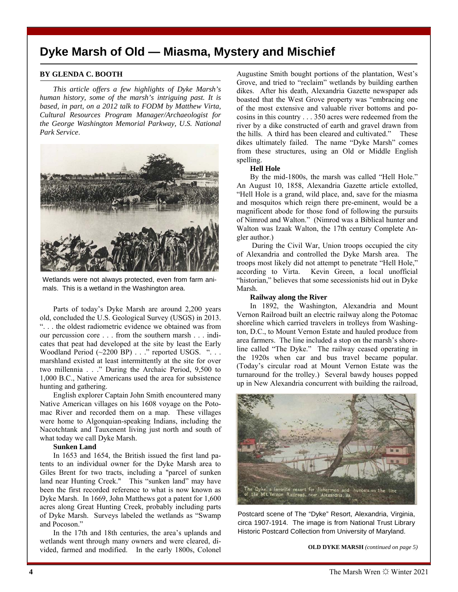# **Dyke Marsh of Old — Miasma, Mystery and Mischief**

## **BY GLENDA C. BOOTH**

*This article offers a few highlights of Dyke Marsh's human history, some of the marsh's intriguing past. It is based, in part, on a 2012 talk to FODM by Matthew Virta, Cultural Resources Program Manager/Archaeologist for the George Washington Memorial Parkway, U.S. National Park Service*.



Wetlands were not always protected, even from farm animals. This is a wetland in the Washington area.

Parts of today's Dyke Marsh are around 2,200 years old, concluded the U.S. Geological Survey (USGS) in 2013. ". . . the oldest radiometric evidence we obtained was from our percussion core . . . from the southern marsh . . . indicates that peat had developed at the site by least the Early Woodland Period (~2200 BP) . . ." reported USGS. ". . . marshland existed at least intermittently at the site for over two millennia . . ." During the Archaic Period, 9,500 to 1,000 B.C., Native Americans used the area for subsistence hunting and gathering.

English explorer Captain John Smith encountered many Native American villages on his 1608 voyage on the Potomac River and recorded them on a map. These villages were home to Algonquian-speaking Indians, including the Nacotchtank and Tauxenent living just north and south of what today we call Dyke Marsh.

#### **Sunken Land**

In 1653 and 1654, the British issued the first land patents to an individual owner for the Dyke Marsh area to Giles Brent for two tracts, including a "parcel of sunken land near Hunting Creek." This "sunken land" may have been the first recorded reference to what is now known as Dyke Marsh. In 1669, John Matthews got a patent for 1,600 acres along Great Hunting Creek, probably including parts of Dyke Marsh. Surveys labeled the wetlands as "Swamp and Pocoson."

In the 17th and 18th centuries, the area's uplands and wetlands went through many owners and were cleared, divided, farmed and modified. In the early 1800s, Colonel Augustine Smith bought portions of the plantation, West's Grove, and tried to "reclaim" wetlands by building earthen dikes. After his death, Alexandria Gazette newspaper ads boasted that the West Grove property was "embracing one of the most extensive and valuable river bottoms and pocosins in this country . . . 350 acres were redeemed from the river by a dike constructed of earth and gravel drawn from the hills. A third has been cleared and cultivated." These dikes ultimately failed. The name "Dyke Marsh" comes from these structures, using an Old or Middle English spelling.

#### **Hell Hole**

By the mid-1800s, the marsh was called "Hell Hole." An August 10, 1858, Alexandria Gazette article extolled, "Hell Hole is a grand, wild place, and, save for the miasma and mosquitos which reign there pre-eminent, would be a magnificent abode for those fond of following the pursuits of Nimrod and Walton." (Nimrod was a Biblical hunter and Walton was Izaak Walton, the 17th century Complete Angler author.)

 During the Civil War, Union troops occupied the city of Alexandria and controlled the Dyke Marsh area. The troops most likely did not attempt to penetrate "Hell Hole," according to Virta. Kevin Green, a local unofficial "historian," believes that some secessionists hid out in Dyke Marsh.

### **Railway along the River**

In 1892, the Washington, Alexandria and Mount Vernon Railroad built an electric railway along the Potomac shoreline which carried travelers in trolleys from Washington, D.C., to Mount Vernon Estate and hauled produce from area farmers. The line included a stop on the marsh's shoreline called "The Dyke." The railway ceased operating in the 1920s when car and bus travel became popular. (Today's circular road at Mount Vernon Estate was the turnaround for the trolley.) Several bawdy houses popped up in New Alexandria concurrent with building the railroad,



Postcard scene of The "Dyke" Resort, Alexandria, Virginia, circa 1907-1914. The image is from National Trust Library Historic Postcard Collection from University of Maryland.

**OLD DYKE MARSH** *(continued on page 5)*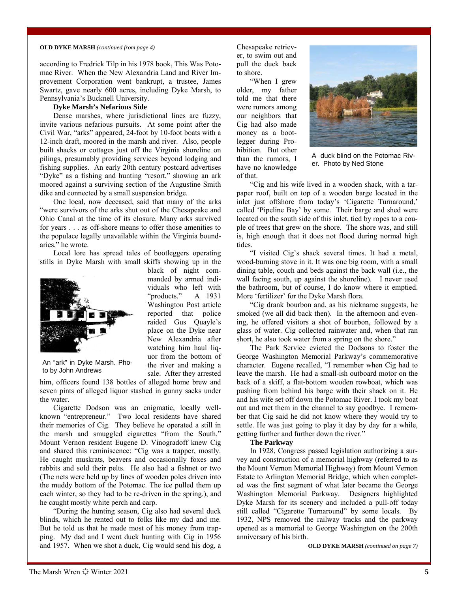#### **OLD DYKE MARSH** *(continued from page 4)*

according to Fredrick Tilp in his 1978 book, This Was Potomac River. When the New Alexandria Land and River Improvement Corporation went bankrupt, a trustee, James Swartz, gave nearly 600 acres, including Dyke Marsh, to Pennsylvania's Bucknell University.

## **Dyke Marsh's Nefarious Side**

Dense marshes, where jurisdictional lines are fuzzy, invite various nefarious pursuits. At some point after the Civil War, "arks" appeared, 24-foot by 10-foot boats with a 12-inch draft, moored in the marsh and river. Also, people built shacks or cottages just off the Virginia shoreline on pilings, presumably providing services beyond lodging and fishing supplies. An early 20th century postcard advertises "Dyke" as a fishing and hunting "resort," showing an ark moored against a surviving section of the Augustine Smith dike and connected by a small suspension bridge.

One local, now deceased, said that many of the arks "were survivors of the arks shut out of the Chesapeake and Ohio Canal at the time of its closure. Many arks survived for years . . . as off-shore means to offer those amenities to the populace legally unavailable within the Virginia boundaries," he wrote.

Local lore has spread tales of bootleggers operating stills in Dyke Marsh with small skiffs showing up in the



black of night commanded by armed individuals who left with "products." A 1931 Washington Post article reported that police raided Gus Quayle's place on the Dyke near New Alexandria after watching him haul liquor from the bottom of the river and making a sale. After they arrested

An "ark" in Dyke Marsh. Photo by John Andrews

him, officers found 138 bottles of alleged home brew and seven pints of alleged liquor stashed in gunny sacks under the water.

Cigarette Dodson was an enigmatic, locally wellknown "entrepreneur." Two local residents have shared their memories of Cig. They believe he operated a still in the marsh and smuggled cigarettes "from the South." Mount Vernon resident Eugene D. Vinogradoff knew Cig and shared this reminiscence: "Cig was a trapper, mostly. He caught muskrats, beavers and occasionally foxes and rabbits and sold their pelts. He also had a fishnet or two (The nets were held up by lines of wooden poles driven into the muddy bottom of the Potomac. The ice pulled them up each winter, so they had to be re-driven in the spring.), and he caught mostly white perch and carp.

"During the hunting season, Cig also had several duck blinds, which he rented out to folks like my dad and me. But he told us that he made most of his money from trapping. My dad and I went duck hunting with Cig in 1956 and 1957. When we shot a duck, Cig would send his dog, a

Chesapeake retriever, to swim out and pull the duck back to shore.

"When I grew older, my father told me that there were rumors among our neighbors that Cig had also made money as a bootlegger during Prohibition. But other than the rumors, I have no knowledge of that.



A duck blind on the Potomac River. Photo by Ned Stone

"Cig and his wife lived in a wooden shack, with a tarpaper roof, built on top of a wooden barge located in the inlet just offshore from today's 'Cigarette Turnaround,' called 'Pipeline Bay' by some. Their barge and shed were located on the south side of this inlet, tied by ropes to a couple of trees that grew on the shore. The shore was, and still is, high enough that it does not flood during normal high tides.

"I visited Cig's shack several times. It had a metal, wood-burning stove in it. It was one big room, with a small dining table, couch and beds against the back wall (i.e., the wall facing south, up against the shoreline). I never used the bathroom, but of course, I do know where it emptied. More 'fertilizer' for the Dyke Marsh flora.

"Cig drank bourbon and, as his nickname suggests, he smoked (we all did back then). In the afternoon and evening, he offered visitors a shot of bourbon, followed by a glass of water. Cig collected rainwater and, when that ran short, he also took water from a spring on the shore."

The Park Service evicted the Dodsons to foster the George Washington Memorial Parkway's commemorative character. Eugene recalled, "I remember when Cig had to leave the marsh. He had a small-ish outboard motor on the back of a skiff, a flat-bottom wooden rowboat, which was pushing from behind his barge with their shack on it. He and his wife set off down the Potomac River. I took my boat out and met them in the channel to say goodbye. I remember that Cig said he did not know where they would try to settle. He was just going to play it day by day for a while, getting further and further down the river."

### **The Parkway**

In 1928, Congress passed legislation authorizing a survey and construction of a memorial highway (referred to as the Mount Vernon Memorial Highway) from Mount Vernon Estate to Arlington Memorial Bridge, which when completed was the first segment of what later became the George Washington Memorial Parkway. Designers highlighted Dyke Marsh for its scenery and included a pull-off today still called "Cigarette Turnaround" by some locals. By 1932, NPS removed the railway tracks and the parkway opened as a memorial to George Washington on the 200th anniversary of his birth.

**OLD DYKE MARSH** *(continued on page 7)*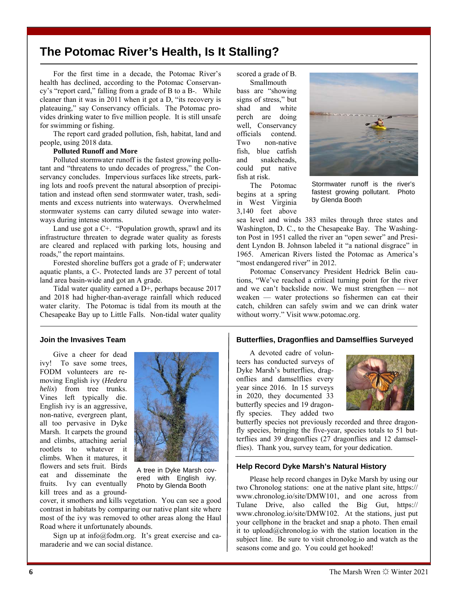# **The Potomac River's Health, Is It Stalling?**

For the first time in a decade, the Potomac River's health has declined, according to the Potomac Conservancy's "report card," falling from a grade of B to a B-. While cleaner than it was in 2011 when it got a D, "its recovery is plateauing," say Conservancy officials. The Potomac provides drinking water to five million people. It is still unsafe for swimming or fishing.

The report card graded pollution, fish, habitat, land and people, using 2018 data.

### **Polluted Runoff and More**

Polluted stormwater runoff is the fastest growing pollutant and "threatens to undo decades of progress," the Conservancy concludes. Impervious surfaces like streets, parking lots and roofs prevent the natural absorption of precipitation and instead often send stormwater water, trash, sediments and excess nutrients into waterways. Overwhelmed stormwater systems can carry diluted sewage into waterways during intense storms.

Land use got a C+. "Population growth, sprawl and its infrastructure threaten to degrade water quality as forests are cleared and replaced with parking lots, housing and roads," the report maintains.

Forested shoreline buffers got a grade of F; underwater aquatic plants, a C-. Protected lands are 37 percent of total land area basin-wide and got an A grade.

Tidal water quality earned a D+, perhaps because 2017 and 2018 had higher-than-average rainfall which reduced water clarity. The Potomac is tidal from its mouth at the Chesapeake Bay up to Little Falls. Non-tidal water quality scored a grade of B. Smallmouth bass are "showing signs of stress," but shad and white perch are doing well, Conservancy officials contend. Two non-native fish, blue catfish and snakeheads, could put native fish at risk.

The Potomac begins at a spring in West Virginia 3,140 feet above



Stormwater runoff is the river's fastest growing pollutant. Photo by Glenda Booth

sea level and winds 383 miles through three states and Washington, D. C., to the Chesapeake Bay. The Washington Post in 1951 called the river an "open sewer" and President Lyndon B. Johnson labeled it "a national disgrace" in 1965. American Rivers listed the Potomac as America's "most endangered river" in 2012.

Potomac Conservancy President Hedrick Belin cautions, "We've reached a critical turning point for the river and we can't backslide now. We must strengthen — not weaken — water protections so fishermen can eat their catch, children can safely swim and we can drink water without worry." Visit www.potomac.org.

### **Join the Invasives Team**

Give a cheer for dead ivy! To save some trees, FODM volunteers are removing English ivy (*Hedera helix*) from tree trunks. Vines left typically die. English ivy is an aggressive, non-native, evergreen plant, all too pervasive in Dyke Marsh. It carpets the ground and climbs, attaching aerial rootlets to whatever it climbs. When it matures, it flowers and sets fruit. Birds eat and disseminate the fruits. Ivy can eventually kill trees and as a ground-



A tree in Dyke Marsh covered with English ivy. Photo by Glenda Booth

cover, it smothers and kills vegetation. You can see a good contrast in habitats by comparing our native plant site where most of the ivy was removed to other areas along the Haul Road where it unfortunately abounds.

Sign up at  $info@fodm.org.$  It's great exercise and camaraderie and we can social distance.

## **Butterflies, Dragonflies and Damselflies Surveyed**

A devoted cadre of volunteers has conducted surveys of Dyke Marsh's butterflies, dragonflies and damselflies every year since 2016. In 15 surveys in 2020, they documented 33 butterfly species and 19 dragonfly species. They added two



butterfly species not previously recorded and three dragonfly species, bringing the five-year, species totals to 51 butterflies and 39 dragonflies (27 dragonflies and 12 damselflies). Thank you, survey team, for your dedication.

### **Help Record Dyke Marsh's Natural History**

Please help record changes in Dyke Marsh by using our two Chronolog stations: one at the native plant site, https:// www.chronolog.io/site/DMW101, and one across from Tulane Drive, also called the Big Gut, https:// www.chronolog.io/site/DMW102. At the stations, just put your cellphone in the bracket and snap a photo. Then email it to upload@chronolog.io with the station location in the subject line. Be sure to visit chronolog.io and watch as the seasons come and go. You could get hooked!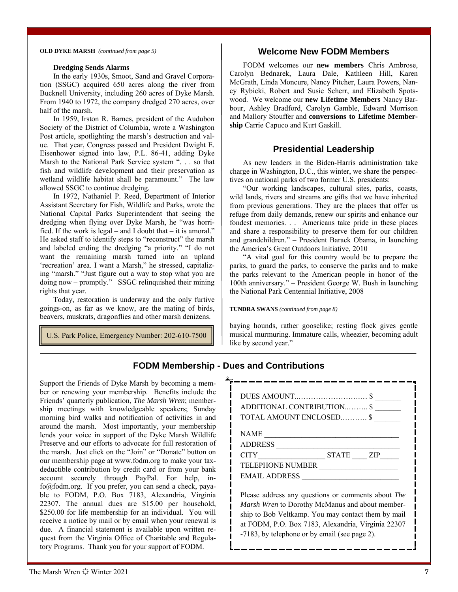#### **OLD DYKE MARSH** *(continued from page 5)*

## **Welcome New FODM Members**

#### **Dredging Sends Alarms**

In the early 1930s, Smoot, Sand and Gravel Corporation (SSGC) acquired 650 acres along the river from Bucknell University, including 260 acres of Dyke Marsh. From 1940 to 1972, the company dredged 270 acres, over half of the marsh.

In 1959, Irston R. Barnes, president of the Audubon Society of the District of Columbia, wrote a Washington Post article, spotlighting the marsh's destruction and value. That year, Congress passed and President Dwight E. Eisenhower signed into law, P.L. 86-41, adding Dyke Marsh to the National Park Service system ". . . so that fish and wildlife development and their preservation as wetland wildlife habitat shall be paramount." The law allowed SSGC to continue dredging.

In 1972, Nathaniel P. Reed, Department of Interior Assistant Secretary for Fish, Wildlife and Parks, wrote the National Capital Parks Superintendent that seeing the dredging when flying over Dyke Marsh, he "was horrified. If the work is legal – and I doubt that – it is amoral." He asked staff to identify steps to "reconstruct" the marsh and labeled ending the dredging "a priority." "I do not want the remaining marsh turned into an upland 'recreation' area. I want a Marsh," he stressed, capitalizing "marsh." "Just figure out a way to stop what you are doing now – promptly." SSGC relinquished their mining rights that year.

Today, restoration is underway and the only furtive goings-on, as far as we know, are the mating of birds, beavers, muskrats, dragonflies and other marsh denizens.

U.S. Park Police, Emergency Number: 202-610-7500

FODM welcomes our **new members** Chris Ambrose, Carolyn Bednarek, Laura Dale, Kathleen Hill, Karen McGrath, Linda Moncure, Nancy Pitcher, Laura Powers, Nancy Rybicki, Robert and Susie Scherr, and Elizabeth Spotswood. We welcome our **new Lifetime Members** Nancy Barbour, Ashley Bradford, Carolyn Gamble, Edward Morrison and Mallory Stouffer and **conversions to Lifetime Membership** Carrie Capuco and Kurt Gaskill.

## **Presidential Leadership**

As new leaders in the Biden-Harris administration take charge in Washington, D.C., this winter, we share the perspectives on national parks of two former U.S. presidents:

"Our working landscapes, cultural sites, parks, coasts, wild lands, rivers and streams are gifts that we have inherited from previous generations. They are the places that offer us refuge from daily demands, renew our spirits and enhance our fondest memories. . . Americans take pride in these places and share a responsibility to preserve them for our children and grandchildren." – President Barack Obama, in launching the America's Great Outdoors Initiative, 2010

"A vital goal for this country would be to prepare the parks, to guard the parks, to conserve the parks and to make the parks relevant to the American people in honor of the 100th anniversary." – President George W. Bush in launching the National Park Centennial Initiative, 2008

**TUNDRA SWANS** *(continued from page 8)* 

baying hounds, rather gooselike; resting flock gives gentle musical murmuring. Immature calls, wheezier, becoming adult like by second year."

# **FODM Membership - Dues and Contributions**

Support the Friends of Dyke Marsh by becoming a member or renewing your membership. Benefits include the Friends' quarterly publication, *The Marsh Wren*; membership meetings with knowledgeable speakers; Sunday morning bird walks and notification of activities in and around the marsh. Most importantly, your membership lends your voice in support of the Dyke Marsh Wildlife Preserve and our efforts to advocate for full restoration of the marsh. Just click on the "Join" or "Donate" button on our membership page at www.fodm.org to make your taxdeductible contribution by credit card or from your bank account securely through PayPal. For help, info@fodm.org. If you prefer, you can send a check, payable to FODM, P.O. Box 7183, Alexandria, Virginia 22307. The annual dues are \$15.00 per household, \$250.00 for life membership for an individual*.* You will receive a notice by mail or by email when your renewal is due. A financial statement is available upon written request from the Virginia Office of Charitable and Regulatory Programs. Thank you for your support of FODM.

| ADDITIONAL CONTRIBUTION \$                            |
|-------------------------------------------------------|
| TOTAL AMOUNT ENCLOSED \$                              |
|                                                       |
| NAME                                                  |
| ADDRESS                                               |
| CITY STATE ZIP                                        |
| TELEPHONE NUMBER<br>the control of the control of the |
| EMAIL ADDRESS                                         |
|                                                       |
| Please address any questions or comments about The    |
| Marsh Wren to Dorothy McManus and about member-       |
| ship to Bob Veltkamp. You may contact them by mail    |
| at FODM, P.O. Box 7183, Alexandria, Virginia 22307    |
| -7183, by telephone or by email (see page 2).         |